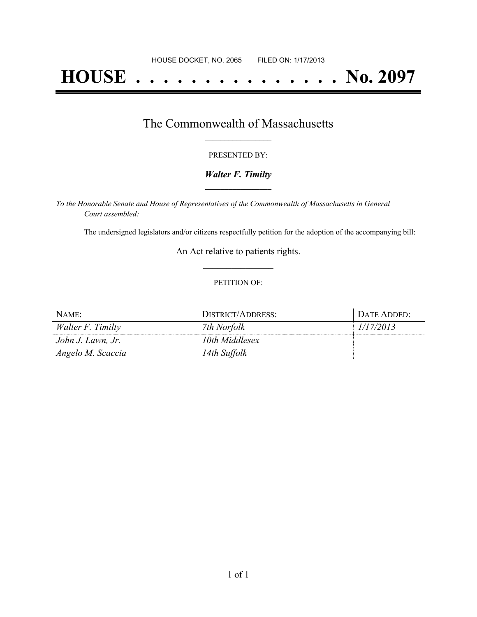# **HOUSE . . . . . . . . . . . . . . . No. 2097**

## The Commonwealth of Massachusetts **\_\_\_\_\_\_\_\_\_\_\_\_\_\_\_\_\_**

#### PRESENTED BY:

#### *Walter F. Timilty* **\_\_\_\_\_\_\_\_\_\_\_\_\_\_\_\_\_**

*To the Honorable Senate and House of Representatives of the Commonwealth of Massachusetts in General Court assembled:*

The undersigned legislators and/or citizens respectfully petition for the adoption of the accompanying bill:

An Act relative to patients rights. **\_\_\_\_\_\_\_\_\_\_\_\_\_\_\_**

#### PETITION OF:

| NAME:             | DISTRICT/ADDRESS: | DATE ADDED: |
|-------------------|-------------------|-------------|
| Walter F. Timilty | 7th Norfolk       | 1/17/2013   |
| John J. Lawn, Jr. | 10th Middlesex    |             |
| Angelo M. Scaccia | 14th Suffolk      |             |